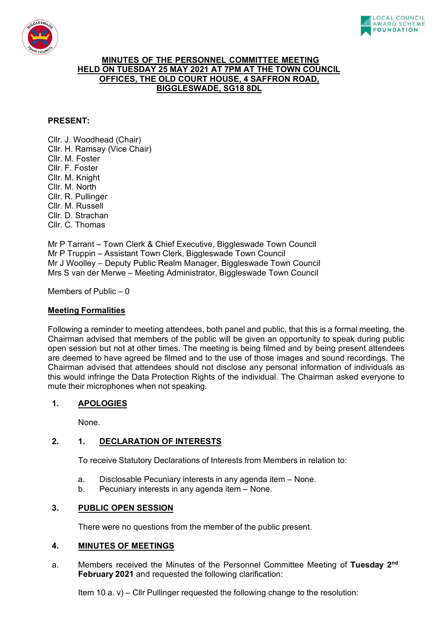



# **MINUTES OF THE PERSONNEL COMMITTEE MEETING HELD ON TUESDAY 25 MAY 2021 AT 7PM AT THE TOWN COUNCIL OFFICES, THE OLD COURT HOUSE, 4 SAFFRON ROAD, BIGGLESWADE, SG18 8DL**

# **PRESENT:**

Cllr. J. Woodhead (Chair) Cllr. H. Ramsay (Vice Chair) Cllr. M. Foster Cllr. F. Foster Cllr. M. Knight Cllr. M. North Cllr. R. Pullinger Cllr. M. Russell Cllr. D. Strachan Cllr. C. Thomas

Mr P Tarrant – Town Clerk & Chief Executive, Biggleswade Town Council Mr P Truppin – Assistant Town Clerk, Biggleswade Town Council Mr J Woolley – Deputy Public Realm Manager, Biggleswade Town Council Mrs S van der Merwe – Meeting Administrator, Biggleswade Town Council

Members of Public  $-0$ 

# **Meeting Formalities**

Following a reminder to meeting attendees, both panel and public, that this is a formal meeting, the Chairman advised that members of the public will be given an opportunity to speak during public open session but not at other times. The meeting is being filmed and by being present attendees are deemed to have agreed be filmed and to the use of those images and sound recordings. The Chairman advised that attendees should not disclose any personal information of individuals as this would infringe the Data Protection Rights of the individual. The Chairman asked everyone to mute their microphones when not speaking.

# **1. APOLOGIES**

None.

# **2. 1. DECLARATION OF INTERESTS**

To receive Statutory Declarations of Interests from Members in relation to:

- a. Disclosable Pecuniary interests in any agenda item None.
- b. Pecuniary interests in any agenda item None.

# **3. PUBLIC OPEN SESSION**

There were no questions from the member of the public present.

# **4. MINUTES OF MEETINGS**

a. Members received the Minutes of the Personnel Committee Meeting of **Tuesday 2nd February 2021** and requested the following clarification:

Item 10 a. v) – Cllr Pullinger requested the following change to the resolution: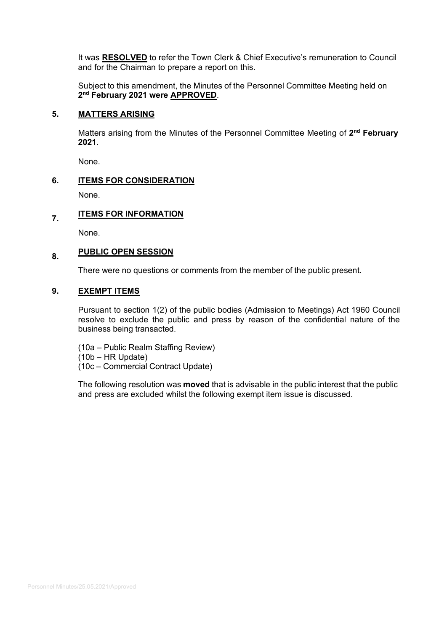It was **RESOLVED** to refer the Town Clerk & Chief Executive's remuneration to Council and for the Chairman to prepare a report on this.

Subject to this amendment, the Minutes of the Personnel Committee Meeting held on **2nd February 2021 were APPROVED**.

## **5. MATTERS ARISING**

Matters arising from the Minutes of the Personnel Committee Meeting of **2nd February 2021**.

None.

# **6. ITEMS FOR CONSIDERATION**

None.

# **7. ITEMS FOR INFORMATION**

None.

# **8. PUBLIC OPEN SESSION**

There were no questions or comments from the member of the public present.

## **9. EXEMPT ITEMS**

Pursuant to section 1(2) of the public bodies (Admission to Meetings) Act 1960 Council resolve to exclude the public and press by reason of the confidential nature of the business being transacted.

- (10a Public Realm Staffing Review)
- (10b HR Update)
- (10c Commercial Contract Update)

The following resolution was **moved** that is advisable in the public interest that the public and press are excluded whilst the following exempt item issue is discussed.